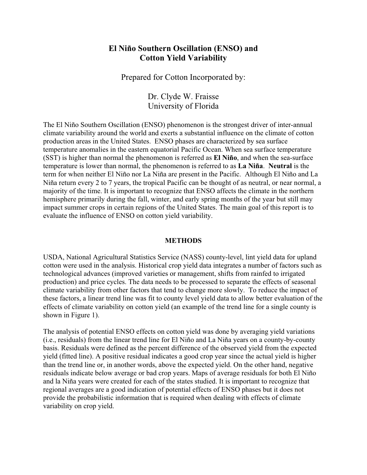## **El Niño Southern Oscillation (ENSO) and Cotton Yield Variability**

Prepared for Cotton Incorporated by:

Dr. Clyde W. Fraisse University of Florida

The El Niño Southern Oscillation (ENSO) phenomenon is the strongest driver of inter-annual climate variability around the world and exerts a substantial influence on the climate of cotton production areas in the United States. ENSO phases are characterized by sea surface temperature anomalies in the eastern equatorial Pacific Ocean. When sea surface temperature (SST) is higher than normal the phenomenon is referred as **El Niño**, and when the sea-surface temperature is lower than normal, the phenomenon is referred to as **La Niña**. **Neutral** is the term for when neither El Niño nor La Niña are present in the Pacific. Although El Niño and La Niña return every 2 to 7 years, the tropical Pacific can be thought of as neutral, or near normal, a majority of the time. It is important to recognize that ENSO affects the climate in the northern hemisphere primarily during the fall, winter, and early spring months of the year but still may impact summer crops in certain regions of the United States. The main goal of this report is to evaluate the influence of ENSO on cotton yield variability.

## **METHODS**

USDA, National Agricultural Statistics Service (NASS) county-level, lint yield data for upland cotton were used in the analysis. Historical crop yield data integrates a number of factors such as technological advances (improved varieties or management, shifts from rainfed to irrigated production) and price cycles. The data needs to be processed to separate the effects of seasonal climate variability from other factors that tend to change more slowly. To reduce the impact of these factors, a linear trend line was fit to county level yield data to allow better evaluation of the effects of climate variability on cotton yield (an example of the trend line for a single county is shown in Figure 1).

The analysis of potential ENSO effects on cotton yield was done by averaging yield variations (i.e., residuals) from the linear trend line for El Niño and La Niña years on a county-by-county basis. Residuals were defined as the percent difference of the observed yield from the expected yield (fitted line). A positive residual indicates a good crop year since the actual yield is higher than the trend line or, in another words, above the expected yield. On the other hand, negative residuals indicate below average or bad crop years. Maps of average residuals for both El Niño and la Niña years were created for each of the states studied. It is important to recognize that regional averages are a good indication of potential effects of ENSO phases but it does not provide the probabilistic information that is required when dealing with effects of climate variability on crop yield.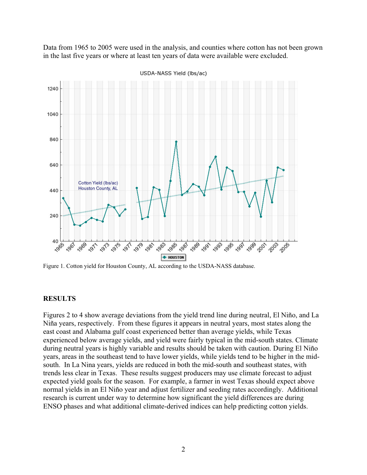Data from 1965 to 2005 were used in the analysis, and counties where cotton has not been grown in the last five years or where at least ten years of data were available were excluded.



USDA-NASS Yield (lbs/ac)

Figure 1. Cotton yield for Houston County, AL according to the USDA-NASS database.

## **RESULTS**

Figures 2 to 4 show average deviations from the yield trend line during neutral, El Niño, and La Niña years, respectively. From these figures it appears in neutral years, most states along the east coast and Alabama gulf coast experienced better than average yields, while Texas experienced below average yields, and yield were fairly typical in the mid-south states. Climate during neutral years is highly variable and results should be taken with caution. During El Niño years, areas in the southeast tend to have lower yields, while yields tend to be higher in the midsouth. In La Nina years, yields are reduced in both the mid-south and southeast states, with trends less clear in Texas. These results suggest producers may use climate forecast to adjust expected yield goals for the season. For example, a farmer in west Texas should expect above normal yields in an El Niño year and adjust fertilizer and seeding rates accordingly. Additional research is current under way to determine how significant the yield differences are during ENSO phases and what additional climate-derived indices can help predicting cotton yields.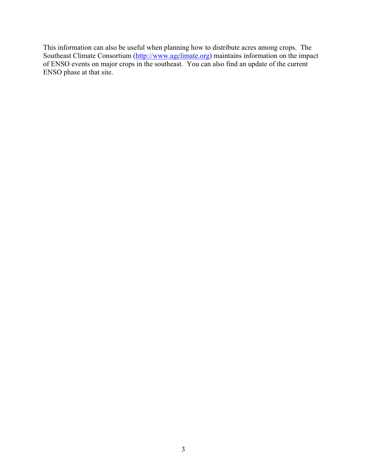This information can also be useful when planning how to distribute acres among crops. The Southeast Climate Consortium (http://www.agclimate.org) maintains information on the impact of ENSO events on major crops in the southeast. You can also find an update of the current ENSO phase at that site.